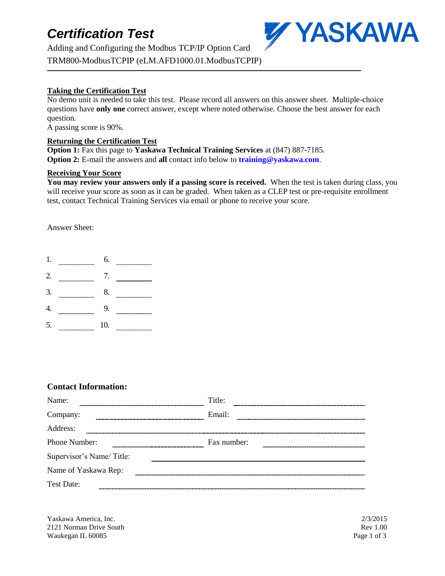## *Certification Test*

Adding and Configuring the Modbus TCP/IP Option Card TRM800-ModbusTCPIP (eLM.AFD1000.01.ModbusTCPIP)



### **Taking the Certification Test**

No demo unit is needed to take this test. Please record all answers on this answer sheet. Multiple-choice questions have **only one** correct answer, except where noted otherwise. Choose the best answer for each question.

A passing score is 90%.

#### **Returning the Certification Test**

**Option 1:** Fax this page to **Yaskawa Technical Training Services** at (847) 887-7185. **Option 2:** E-mail the answers and **all** contact info below to **training@yaskawa.com**.

#### **Receiving Your Score**

**You may review your answers only if a passing score is received.** When the test is taken during class, you will receive your score as soon as it can be graded. When taken as a CLEP test or pre-requisite enrollment test, contact Technical Training Services via email or phone to receive your score.

Answer Sheet:

| 1  | <b><i>Professional American Constitution Company</i></b>                                                                                                                                                                                         | 6.  | .         |
|----|--------------------------------------------------------------------------------------------------------------------------------------------------------------------------------------------------------------------------------------------------|-----|-----------|
| 2. | -------                                                                                                                                                                                                                                          | 7.  |           |
| 3. | <b><i><u>PARTICIPATION CONTINUES IN THE REAL PROPERTY OF THE REAL PROPERTY OF THE REAL PROPERTY OF THE REAL PROPERTY OF THE REAL PROPERTY OF THE REAL PROPERTY OF THE REAL PROPERTY OF THE REAL PROPERTY OF THE REAL PROPERTY OF THE</u></i></b> | 8.  |           |
|    | ------                                                                                                                                                                                                                                           | 9.  |           |
| 5. | <b><i><u>PERSONAL PROPERTY AND STATES OF ASSAULT COMPANY OF A STATES OF A STATE OF A STATE OF A STATE OF A STATE OF A ST</u></i></b>                                                                                                             | 10. | --------- |

### **Contact Information:**

| Name:                    | Title:      |
|--------------------------|-------------|
| Company:                 | Email:      |
| Address:                 |             |
| Phone Number:            | Fax number: |
| Supervisor's Name/Title: |             |
| Name of Yaskawa Rep:     |             |
| Test Date:               |             |

Yaskawa America, Inc. 2/3/2015 2121 Norman Drive South Rev 1.00 Waukegan IL 60085 Page 1 of 3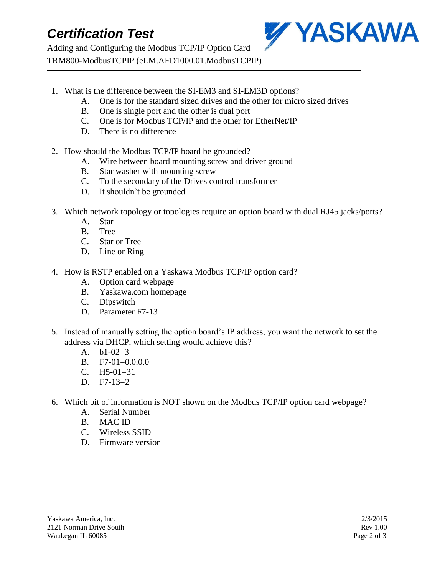## *Certification Test*

Adding and Configuring the Modbus TCP/IP Option Card TRM800-ModbusTCPIP (eLM.AFD1000.01.ModbusTCPIP)



- 1. What is the difference between the SI-EM3 and SI-EM3D options?
	- A. One is for the standard sized drives and the other for micro sized drives
	- B. One is single port and the other is dual port
	- C. One is for Modbus TCP/IP and the other for EtherNet/IP
	- D. There is no difference
- 2. How should the Modbus TCP/IP board be grounded?
	- A. Wire between board mounting screw and driver ground
	- B. Star washer with mounting screw
	- C. To the secondary of the Drives control transformer
	- D. It shouldn't be grounded
- 3. Which network topology or topologies require an option board with dual RJ45 jacks/ports?
	- A. Star
	- B. Tree
	- C. Star or Tree
	- D. Line or Ring
- 4. How is RSTP enabled on a Yaskawa Modbus TCP/IP option card?
	- A. Option card webpage
	- B. Yaskawa.com homepage
	- C. Dipswitch
	- D. Parameter F7-13
- 5. Instead of manually setting the option board's IP address, you want the network to set the address via DHCP, which setting would achieve this?
	- A.  $b1-02=3$
	- B. F7-01=0.0.0.0
	- C.  $H5-01=31$
	- D.  $F7-13=2$
- 6. Which bit of information is NOT shown on the Modbus TCP/IP option card webpage?
	- A. Serial Number
	- B. MAC ID
	- C. Wireless SSID
	- D. Firmware version